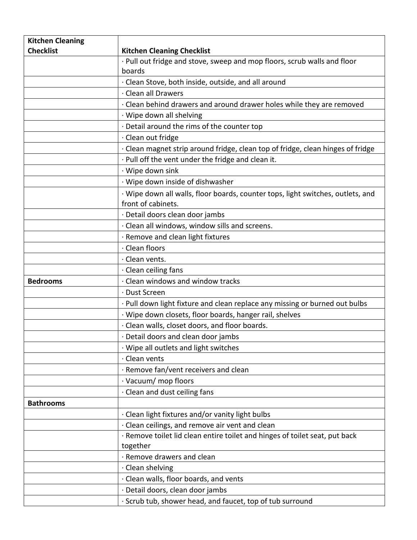| <b>Kitchen Cleaning</b> |                                                                                 |
|-------------------------|---------------------------------------------------------------------------------|
| <b>Checklist</b>        | <b>Kitchen Cleaning Checklist</b>                                               |
|                         | · Pull out fridge and stove, sweep and mop floors, scrub walls and floor        |
|                         | boards                                                                          |
|                         | · Clean Stove, both inside, outside, and all around                             |
|                         | · Clean all Drawers                                                             |
|                         | . Clean behind drawers and around drawer holes while they are removed           |
|                         | · Wipe down all shelving                                                        |
|                         | Detail around the rims of the counter top                                       |
|                         | · Clean out fridge                                                              |
|                         | · Clean magnet strip around fridge, clean top of fridge, clean hinges of fridge |
|                         | · Pull off the vent under the fridge and clean it.                              |
|                         | · Wipe down sink                                                                |
|                         | · Wipe down inside of dishwasher                                                |
|                         | · Wipe down all walls, floor boards, counter tops, light switches, outlets, and |
|                         | front of cabinets.                                                              |
|                         | · Detail doors clean door jambs                                                 |
|                         | · Clean all windows, window sills and screens.                                  |
|                         | · Remove and clean light fixtures                                               |
|                         | · Clean floors                                                                  |
|                         | · Clean vents.                                                                  |
|                         | · Clean ceiling fans                                                            |
| <b>Bedrooms</b>         | · Clean windows and window tracks                                               |
|                         | · Dust Screen                                                                   |
|                         | · Pull down light fixture and clean replace any missing or burned out bulbs     |
|                         | · Wipe down closets, floor boards, hanger rail, shelves                         |
|                         | · Clean walls, closet doors, and floor boards.                                  |
|                         | · Detail doors and clean door jambs                                             |
|                         | · Wipe all outlets and light switches                                           |
|                         | · Clean vents                                                                   |
|                         | · Remove fan/vent receivers and clean                                           |
|                         | · Vacuum/ mop floors                                                            |
|                         | · Clean and dust ceiling fans                                                   |
| <b>Bathrooms</b>        |                                                                                 |
|                         | · Clean light fixtures and/or vanity light bulbs                                |
|                         | · Clean ceilings, and remove air vent and clean                                 |
|                         | · Remove toilet lid clean entire toilet and hinges of toilet seat, put back     |
|                         | together                                                                        |
|                         | · Remove drawers and clean                                                      |
|                         | · Clean shelving                                                                |
|                         | · Clean walls, floor boards, and vents                                          |
|                         | · Detail doors, clean door jambs                                                |
|                         | · Scrub tub, shower head, and faucet, top of tub surround                       |